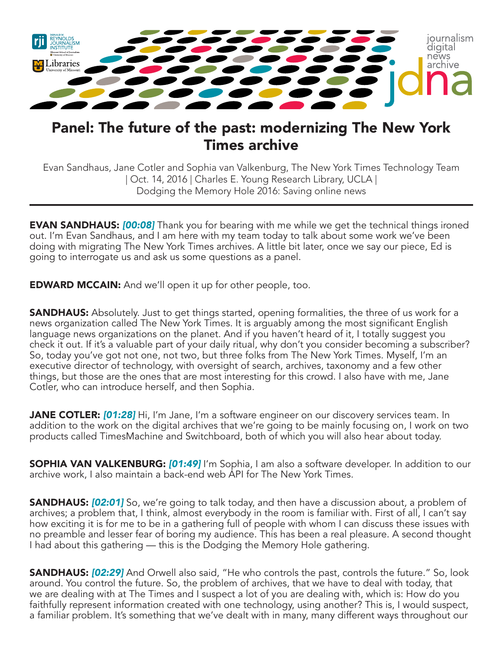

## Panel: The future of the past: modernizing The New York Times archive

Evan Sandhaus, Jane Cotler and Sophia van Valkenburg, The New York Times Technology Team | Oct. 14, 2016 | Charles E. Young Research Library, UCLA | Dodging the Memory Hole 2016: Saving online news

**EVAN SANDHAUS:** *[00:08]* Thank you for bearing with me while we get the technical things ironed out. I'm Evan Sandhaus, and I am here with my team today to talk about some work we've been doing with migrating The New York Times archives. A little bit later, once we say our piece, Ed is going to interrogate us and ask us some questions as a panel.

**EDWARD MCCAIN:** And we'll open it up for other people, too.

**SANDHAUS:** Absolutely. Just to get things started, opening formalities, the three of us work for a news organization called The New York Times. It is arguably among the most significant English language news organizations on the planet. And if you haven't heard of it, I totally suggest you check it out. If it's a valuable part of your daily ritual, why don't you consider becoming a subscriber? So, today you've got not one, not two, but three folks from The New York Times. Myself, I'm an executive director of technology, with oversight of search, archives, taxonomy and a few other things, but those are the ones that are most interesting for this crowd. I also have with me, Jane Cotler, who can introduce herself, and then Sophia.

**JANE COTLER: [01:28]** Hi, I'm Jane, I'm a software engineer on our discovery services team. In addition to the work on the digital archives that we're going to be mainly focusing on, I work on two products called TimesMachine and Switchboard, both of which you will also hear about today.

SOPHIA VAN VALKENBURG: *[01:49]* I'm Sophia, I am also a software developer. In addition to our archive work, I also maintain a back-end web API for The New York Times.

**SANDHAUS:** *[02:01]* So, we're going to talk today, and then have a discussion about, a problem of archives; a problem that, I think, almost everybody in the room is familiar with. First of all, I can't say how exciting it is for me to be in a gathering full of people with whom I can discuss these issues with no preamble and lesser fear of boring my audience. This has been a real pleasure. A second thought I had about this gathering — this is the Dodging the Memory Hole gathering.

SANDHAUS: *[02:29]* And Orwell also said, "He who controls the past, controls the future." So, look around. You control the future. So, the problem of archives, that we have to deal with today, that we are dealing with at The Times and I suspect a lot of you are dealing with, which is: How do you faithfully represent information created with one technology, using another? This is, I would suspect, a familiar problem. It's something that we've dealt with in many, many different ways throughout our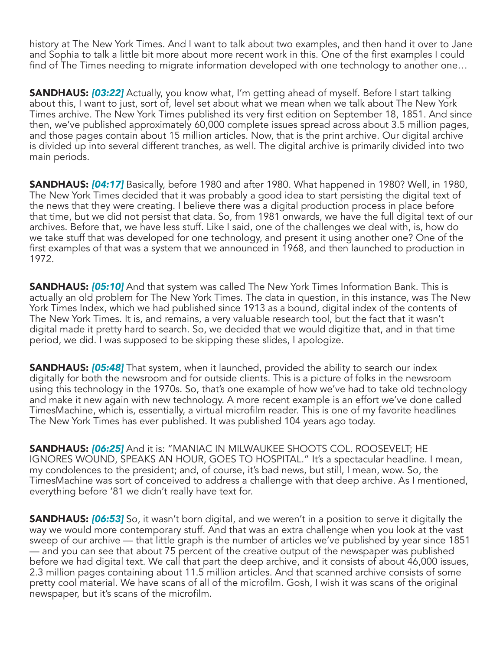history at The New York Times. And I want to talk about two examples, and then hand it over to Jane and Sophia to talk a little bit more about more recent work in this. One of the first examples I could find of The Times needing to migrate information developed with one technology to another one…

**SANDHAUS: [03:22]** Actually, you know what, I'm getting ahead of myself. Before I start talking about this, I want to just, sort of, level set about what we mean when we talk about The New York Times archive. The New York Times published its very first edition on September 18, 1851. And since then, we've published approximately 60,000 complete issues spread across about 3.5 million pages, and those pages contain about 15 million articles. Now, that is the print archive. Our digital archive is divided up into several different tranches, as well. The digital archive is primarily divided into two main periods.

SANDHAUS: *[04:17]* Basically, before 1980 and after 1980. What happened in 1980? Well, in 1980, The New York Times decided that it was probably a good idea to start persisting the digital text of the news that they were creating. I believe there was a digital production process in place before that time, but we did not persist that data. So, from 1981 onwards, we have the full digital text of our archives. Before that, we have less stuff. Like I said, one of the challenges we deal with, is, how do we take stuff that was developed for one technology, and present it using another one? One of the first examples of that was a system that we announced in 1968, and then launched to production in 1972.

**SANDHAUS: [05:10]** And that system was called The New York Times Information Bank. This is actually an old problem for The New York Times. The data in question, in this instance, was The New York Times Index, which we had published since 1913 as a bound, digital index of the contents of The New York Times. It is, and remains, a very valuable research tool, but the fact that it wasn't digital made it pretty hard to search. So, we decided that we would digitize that, and in that time period, we did. I was supposed to be skipping these slides, I apologize.

**SANDHAUS: [05:48]** That system, when it launched, provided the ability to search our index digitally for both the newsroom and for outside clients. This is a picture of folks in the newsroom using this technology in the 1970s. So, that's one example of how we've had to take old technology and make it new again with new technology. A more recent example is an effort we've done called TimesMachine, which is, essentially, a virtual microfilm reader. This is one of my favorite headlines The New York Times has ever published. It was published 104 years ago today.

SANDHAUS: *[06:25]* And it is: "MANIAC IN MILWAUKEE SHOOTS COL. ROOSEVELT; HE IGNORES WOUND, SPEAKS AN HOUR, GOES TO HOSPITAL." It's a spectacular headline. I mean, my condolences to the president; and, of course, it's bad news, but still, I mean, wow. So, the TimesMachine was sort of conceived to address a challenge with that deep archive. As I mentioned, everything before '81 we didn't really have text for.

**SANDHAUS: [06:53]** So, it wasn't born digital, and we weren't in a position to serve it digitally the way we would more contemporary stuff. And that was an extra challenge when you look at the vast sweep of our archive — that little graph is the number of articles we've published by year since 1851 — and you can see that about 75 percent of the creative output of the newspaper was published before we had digital text. We call that part the deep archive, and it consists of about 46,000 issues, 2.3 million pages containing about 11.5 million articles. And that scanned archive consists of some pretty cool material. We have scans of all of the microfilm. Gosh, I wish it was scans of the original newspaper, but it's scans of the microfilm.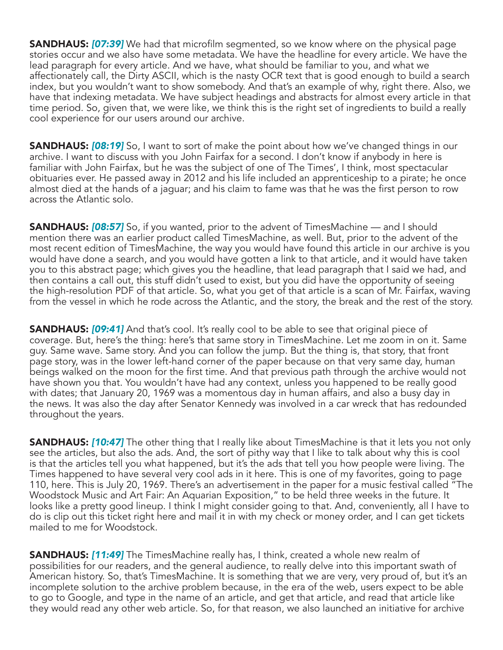SANDHAUS: *[07:39]* We had that microfilm segmented, so we know where on the physical page stories occur and we also have some metadata. We have the headline for every article. We have the lead paragraph for every article. And we have, what should be familiar to you, and what we affectionately call, the Dirty ASCII, which is the nasty OCR text that is good enough to build a search index, but you wouldn't want to show somebody. And that's an example of why, right there. Also, we have that indexing metadata. We have subject headings and abstracts for almost every article in that time period. So, given that, we were like, we think this is the right set of ingredients to build a really cool experience for our users around our archive.

**SANDHAUS: <b>[08:19]** So, I want to sort of make the point about how we've changed things in our archive. I want to discuss with you John Fairfax for a second. I don't know if anybody in here is familiar with John Fairfax, but he was the subject of one of The Times', I think, most spectacular obituaries ever. He passed away in 2012 and his life included an apprenticeship to a pirate; he once almost died at the hands of a jaguar; and his claim to fame was that he was the first person to row across the Atlantic solo.

**SANDHAUS: [08:57]** So, if you wanted, prior to the advent of TimesMachine — and I should mention there was an earlier product called TimesMachine, as well. But, prior to the advent of the most recent edition of TimesMachine, the way you would have found this article in our archive is you would have done a search, and you would have gotten a link to that article, and it would have taken you to this abstract page; which gives you the headline, that lead paragraph that I said we had, and then contains a call out, this stuff didn't used to exist, but you did have the opportunity of seeing the high-resolution PDF of that article. So, what you get of that article is a scan of Mr. Fairfax, waving from the vessel in which he rode across the Atlantic, and the story, the break and the rest of the story.

**SANDHAUS: [09:41]** And that's cool. It's really cool to be able to see that original piece of coverage. But, here's the thing: here's that same story in TimesMachine. Let me zoom in on it. Same guy. Same wave. Same story. And you can follow the jump. But the thing is, that story, that front page story, was in the lower left-hand corner of the paper because on that very same day, human beings walked on the moon for the first time. And that previous path through the archive would not have shown you that. You wouldn't have had any context, unless you happened to be really good with dates; that January 20, 1969 was a momentous day in human affairs, and also a busy day in the news. It was also the day after Senator Kennedy was involved in a car wreck that has redounded throughout the years.

**SANDHAUS: [10:47]** The other thing that I really like about TimesMachine is that it lets you not only see the articles, but also the ads. And, the sort of pithy way that I like to talk about why this is cool is that the articles tell you what happened, but it's the ads that tell you how people were living. The Times happened to have several very cool ads in it here. This is one of my favorites, going to page 110, here. This is July 20, 1969. There's an advertisement in the paper for a music festival called "The Woodstock Music and Art Fair: An Aquarian Exposition," to be held three weeks in the future. It looks like a pretty good lineup. I think I might consider going to that. And, conveniently, all I have to do is clip out this ticket right here and mail it in with my check or money order, and I can get tickets mailed to me for Woodstock.

SANDHAUS: *[11:49]* The TimesMachine really has, I think, created a whole new realm of possibilities for our readers, and the general audience, to really delve into this important swath of American history. So, that's TimesMachine. It is something that we are very, very proud of, but it's an incomplete solution to the archive problem because, in the era of the web, users expect to be able to go to Google, and type in the name of an article, and get that article, and read that article like they would read any other web article. So, for that reason, we also launched an initiative for archive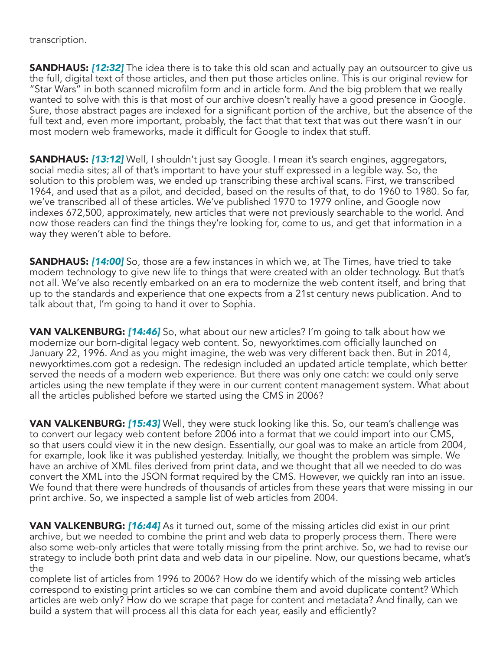transcription.

**SANDHAUS:** [12:32] The idea there is to take this old scan and actually pay an outsourcer to give us the full, digital text of those articles, and then put those articles online. This is our original review for "Star Wars" in both scanned microfilm form and in article form. And the big problem that we really wanted to solve with this is that most of our archive doesn't really have a good presence in Google. Sure, those abstract pages are indexed for a significant portion of the archive, but the absence of the full text and, even more important, probably, the fact that that text that was out there wasn't in our most modern web frameworks, made it difficult for Google to index that stuff.

**SANDHAUS: [13:12]** Well, I shouldn't just say Google. I mean it's search engines, aggregators, social media sites; all of that's important to have your stuff expressed in a legible way. So, the solution to this problem was, we ended up transcribing these archival scans. First, we transcribed 1964, and used that as a pilot, and decided, based on the results of that, to do 1960 to 1980. So far, we've transcribed all of these articles. We've published 1970 to 1979 online, and Google now indexes 672,500, approximately, new articles that were not previously searchable to the world. And now those readers can find the things they're looking for, come to us, and get that information in a way they weren't able to before.

**SANDHAUS: [14:00]** So, those are a few instances in which we, at The Times, have tried to take modern technology to give new life to things that were created with an older technology. But that's not all. We've also recently embarked on an era to modernize the web content itself, and bring that up to the standards and experience that one expects from a 21st century news publication. And to talk about that, I'm going to hand it over to Sophia.

VAN VALKENBURG: *[14:46]* So, what about our new articles? I'm going to talk about how we modernize our born-digital legacy web content. So, newyorktimes.com officially launched on January 22, 1996. And as you might imagine, the web was very different back then. But in 2014, newyorktimes.com got a redesign. The redesign included an updated article template, which better served the needs of a modern web experience. But there was only one catch: we could only serve articles using the new template if they were in our current content management system. What about all the articles published before we started using the CMS in 2006?

VAN VALKENBURG: *[15:43]* Well, they were stuck looking like this. So, our team's challenge was to convert our legacy web content before 2006 into a format that we could import into our CMS, so that users could view it in the new design. Essentially, our goal was to make an article from 2004, for example, look like it was published yesterday. Initially, we thought the problem was simple. We have an archive of XML files derived from print data, and we thought that all we needed to do was convert the XML into the JSON format required by the CMS. However, we quickly ran into an issue. We found that there were hundreds of thousands of articles from these years that were missing in our print archive. So, we inspected a sample list of web articles from 2004.

VAN VALKENBURG: *[16:44]* As it turned out, some of the missing articles did exist in our print archive, but we needed to combine the print and web data to properly process them. There were also some web-only articles that were totally missing from the print archive. So, we had to revise our strategy to include both print data and web data in our pipeline. Now, our questions became, what's the

complete list of articles from 1996 to 2006? How do we identify which of the missing web articles correspond to existing print articles so we can combine them and avoid duplicate content? Which articles are web only? How do we scrape that page for content and metadata? And finally, can we build a system that will process all this data for each year, easily and efficiently?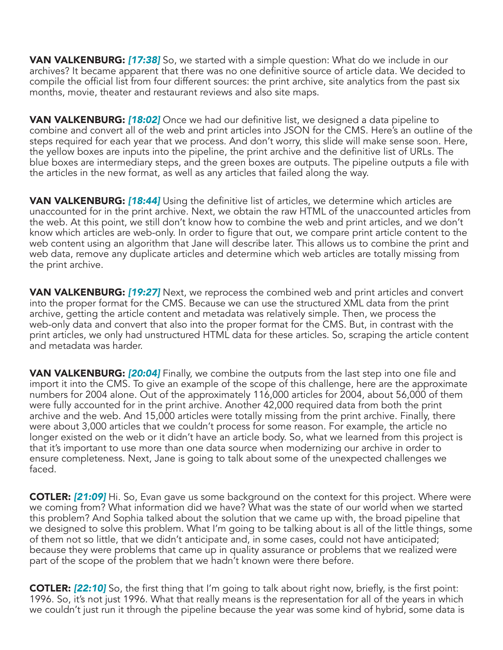VAN VALKENBURG: *[17:38]* So, we started with a simple question: What do we include in our archives? It became apparent that there was no one definitive source of article data. We decided to compile the official list from four different sources: the print archive, site analytics from the past six months, movie, theater and restaurant reviews and also site maps.

VAN VALKENBURG: *[18:02]* Once we had our definitive list, we designed a data pipeline to combine and convert all of the web and print articles into JSON for the CMS. Here's an outline of the steps required for each year that we process. And don't worry, this slide will make sense soon. Here, the yellow boxes are inputs into the pipeline, the print archive and the definitive list of URLs. The blue boxes are intermediary steps, and the green boxes are outputs. The pipeline outputs a file with the articles in the new format, as well as any articles that failed along the way.

VAN VALKENBURG: *[18:44]* Using the definitive list of articles, we determine which articles are unaccounted for in the print archive. Next, we obtain the raw HTML of the unaccounted articles from the web. At this point, we still don't know how to combine the web and print articles, and we don't know which articles are web-only. In order to figure that out, we compare print article content to the web content using an algorithm that Jane will describe later. This allows us to combine the print and web data, remove any duplicate articles and determine which web articles are totally missing from the print archive.

**VAN VALKENBURG: [19:27]** Next, we reprocess the combined web and print articles and convert into the proper format for the CMS. Because we can use the structured XML data from the print archive, getting the article content and metadata was relatively simple. Then, we process the web-only data and convert that also into the proper format for the CMS. But, in contrast with the print articles, we only had unstructured HTML data for these articles. So, scraping the article content and metadata was harder.

VAN VALKENBURG: *[20:04]* Finally, we combine the outputs from the last step into one file and import it into the CMS. To give an example of the scope of this challenge, here are the approximate numbers for 2004 alone. Out of the approximately 116,000 articles for 2004, about 56,000 of them were fully accounted for in the print archive. Another 42,000 required data from both the print archive and the web. And 15,000 articles were totally missing from the print archive. Finally, there were about 3,000 articles that we couldn't process for some reason. For example, the article no longer existed on the web or it didn't have an article body. So, what we learned from this project is that it's important to use more than one data source when modernizing our archive in order to ensure completeness. Next, Jane is going to talk about some of the unexpected challenges we faced.

COTLER: *[21:09]* Hi. So, Evan gave us some background on the context for this project. Where were we coming from? What information did we have? What was the state of our world when we started this problem? And Sophia talked about the solution that we came up with, the broad pipeline that we designed to solve this problem. What I'm going to be talking about is all of the little things, some of them not so little, that we didn't anticipate and, in some cases, could not have anticipated; because they were problems that came up in quality assurance or problems that we realized were part of the scope of the problem that we hadn't known were there before.

COTLER: *[22:10]* So, the first thing that I'm going to talk about right now, briefly, is the first point: 1996. So, it's not just 1996. What that really means is the representation for all of the years in which we couldn't just run it through the pipeline because the year was some kind of hybrid, some data is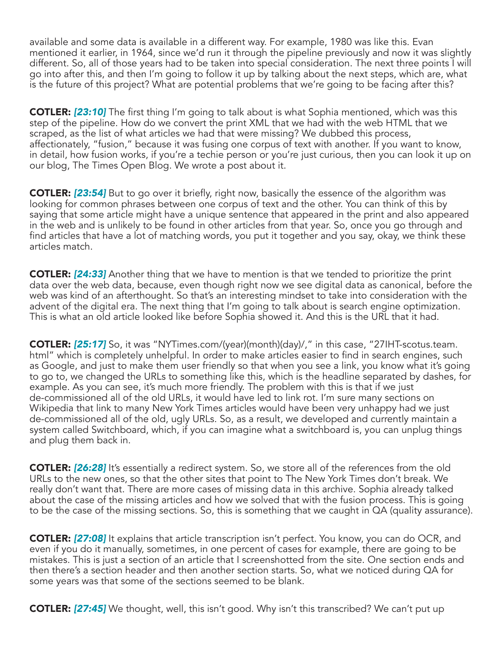available and some data is available in a different way. For example, 1980 was like this. Evan mentioned it earlier, in 1964, since we'd run it through the pipeline previously and now it was slightly different. So, all of those years had to be taken into special consideration. The next three points I will go into after this, and then I'm going to follow it up by talking about the next steps, which are, what is the future of this project? What are potential problems that we're going to be facing after this?

COTLER: *[23:10]* The first thing I'm going to talk about is what Sophia mentioned, which was this step of the pipeline. How do we convert the print XML that we had with the web HTML that we scraped, as the list of what articles we had that were missing? We dubbed this process, affectionately, "fusion," because it was fusing one corpus of text with another. If you want to know, in detail, how fusion works, if you're a techie person or you're just curious, then you can look it up on our blog, The Times Open Blog. We wrote a post about it.

**COTLER:** [23:54] But to go over it briefly, right now, basically the essence of the algorithm was looking for common phrases between one corpus of text and the other. You can think of this by saying that some article might have a unique sentence that appeared in the print and also appeared in the web and is unlikely to be found in other articles from that year. So, once you go through and find articles that have a lot of matching words, you put it together and you say, okay, we think these articles match.

COTLER: *[24:33]* Another thing that we have to mention is that we tended to prioritize the print data over the web data, because, even though right now we see digital data as canonical, before the web was kind of an afterthought. So that's an interesting mindset to take into consideration with the advent of the digital era. The next thing that I'm going to talk about is search engine optimization. This is what an old article looked like before Sophia showed it. And this is the URL that it had.

COTLER: *[25:17]* So, it was "NYTimes.com/(year)(month)(day)/," in this case, "27IHT-scotus.team. html" which is completely unhelpful. In order to make articles easier to find in search engines, such as Google, and just to make them user friendly so that when you see a link, you know what it's going to go to, we changed the URLs to something like this, which is the headline separated by dashes, for example. As you can see, it's much more friendly. The problem with this is that if we just de-commissioned all of the old URLs, it would have led to link rot. I'm sure many sections on Wikipedia that link to many New York Times articles would have been very unhappy had we just de-commissioned all of the old, ugly URLs. So, as a result, we developed and currently maintain a system called Switchboard, which, if you can imagine what a switchboard is, you can unplug things and plug them back in.

COTLER: *[26:28]* It's essentially a redirect system. So, we store all of the references from the old URLs to the new ones, so that the other sites that point to The New York Times don't break. We really don't want that. There are more cases of missing data in this archive. Sophia already talked about the case of the missing articles and how we solved that with the fusion process. This is going to be the case of the missing sections. So, this is something that we caught in QA (quality assurance).

COTLER: *[27:08]* It explains that article transcription isn't perfect. You know, you can do OCR, and even if you do it manually, sometimes, in one percent of cases for example, there are going to be mistakes. This is just a section of an article that I screenshotted from the site. One section ends and then there's a section header and then another section starts. So, what we noticed during QA for some years was that some of the sections seemed to be blank.

COTLER: *[27:45]* We thought, well, this isn't good. Why isn't this transcribed? We can't put up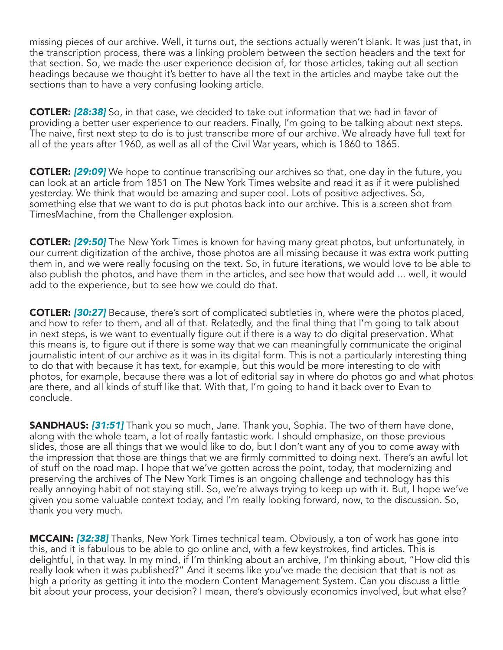missing pieces of our archive. Well, it turns out, the sections actually weren't blank. It was just that, in the transcription process, there was a linking problem between the section headers and the text for that section. So, we made the user experience decision of, for those articles, taking out all section headings because we thought it's better to have all the text in the articles and maybe take out the sections than to have a very confusing looking article.

COTLER: *[28:38]* So, in that case, we decided to take out information that we had in favor of providing a better user experience to our readers. Finally, I'm going to be talking about next steps. The naive, first next step to do is to just transcribe more of our archive. We already have full text for all of the years after 1960, as well as all of the Civil War years, which is 1860 to 1865.

COTLER: *[29:09]* We hope to continue transcribing our archives so that, one day in the future, you can look at an article from 1851 on The New York Times website and read it as if it were published yesterday. We think that would be amazing and super cool. Lots of positive adjectives. So, something else that we want to do is put photos back into our archive. This is a screen shot from TimesMachine, from the Challenger explosion.

COTLER: *[29:50]* The New York Times is known for having many great photos, but unfortunately, in our current digitization of the archive, those photos are all missing because it was extra work putting them in, and we were really focusing on the text. So, in future iterations, we would love to be able to also publish the photos, and have them in the articles, and see how that would add ... well, it would add to the experience, but to see how we could do that.

COTLER: *[30:27]* Because, there's sort of complicated subtleties in, where were the photos placed, and how to refer to them, and all of that. Relatedly, and the final thing that I'm going to talk about in next steps, is we want to eventually figure out if there is a way to do digital preservation. What this means is, to figure out if there is some way that we can meaningfully communicate the original journalistic intent of our archive as it was in its digital form. This is not a particularly interesting thing to do that with because it has text, for example, but this would be more interesting to do with photos, for example, because there was a lot of editorial say in where do photos go and what photos are there, and all kinds of stuff like that. With that, I'm going to hand it back over to Evan to conclude.

SANDHAUS: *[31:51]* Thank you so much, Jane. Thank you, Sophia. The two of them have done, along with the whole team, a lot of really fantastic work. I should emphasize, on those previous slides, those are all things that we would like to do, but I don't want any of you to come away with the impression that those are things that we are firmly committed to doing next. There's an awful lot of stuff on the road map. I hope that we've gotten across the point, today, that modernizing and preserving the archives of The New York Times is an ongoing challenge and technology has this really annoying habit of not staying still. So, we're always trying to keep up with it. But, I hope we've given you some valuable context today, and I'm really looking forward, now, to the discussion. So, thank you very much.

MCCAIN: *[32:38]* Thanks, New York Times technical team. Obviously, a ton of work has gone into this, and it is fabulous to be able to go online and, with a few keystrokes, find articles. This is delightful, in that way. In my mind, if I'm thinking about an archive, I'm thinking about, "How did this really look when it was published?" And it seems like you've made the decision that that is not as high a priority as getting it into the modern Content Management System. Can you discuss a little bit about your process, your decision? I mean, there's obviously economics involved, but what else?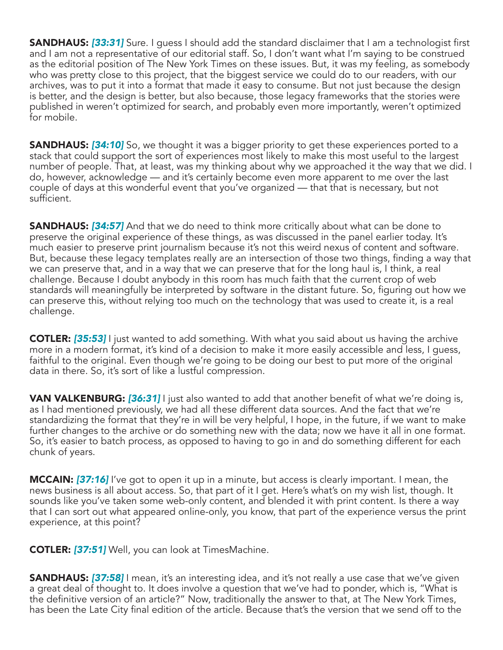**SANDHAUS: [33:31]** Sure. I guess I should add the standard disclaimer that I am a technologist first and I am not a representative of our editorial staff. So, I don't want what I'm saying to be construed as the editorial position of The New York Times on these issues. But, it was my feeling, as somebody who was pretty close to this project, that the biggest service we could do to our readers, with our archives, was to put it into a format that made it easy to consume. But not just because the design is better, and the design is better, but also because, those legacy frameworks that the stories were published in weren't optimized for search, and probably even more importantly, weren't optimized for mobile.

**SANDHAUS: [34:10]** So, we thought it was a bigger priority to get these experiences ported to a stack that could support the sort of experiences most likely to make this most useful to the largest number of people. That, at least, was my thinking about why we approached it the way that we did. I do, however, acknowledge — and it's certainly become even more apparent to me over the last couple of days at this wonderful event that you've organized — that that is necessary, but not sufficient.

**SANDHAUS: [34:57]** And that we do need to think more critically about what can be done to preserve the original experience of these things, as was discussed in the panel earlier today. It's much easier to preserve print journalism because it's not this weird nexus of content and software. But, because these legacy templates really are an intersection of those two things, finding a way that we can preserve that, and in a way that we can preserve that for the long haul is, I think, a real challenge. Because I doubt anybody in this room has much faith that the current crop of web standards will meaningfully be interpreted by software in the distant future. So, figuring out how we can preserve this, without relying too much on the technology that was used to create it, is a real challenge.

COTLER: *[35:53]* I just wanted to add something. With what you said about us having the archive more in a modern format, it's kind of a decision to make it more easily accessible and less, I guess, faithful to the original. Even though we're going to be doing our best to put more of the original data in there. So, it's sort of like a lustful compression.

VAN VALKENBURG: *[36:31]* I just also wanted to add that another benefit of what we're doing is, as I had mentioned previously, we had all these different data sources. And the fact that we're standardizing the format that they're in will be very helpful, I hope, in the future, if we want to make further changes to the archive or do something new with the data; now we have it all in one format. So, it's easier to batch process, as opposed to having to go in and do something different for each chunk of years.

MCCAIN: *[37:16]* I've got to open it up in a minute, but access is clearly important. I mean, the news business is all about access. So, that part of it I get. Here's what's on my wish list, though. It sounds like you've taken some web-only content, and blended it with print content. Is there a way that I can sort out what appeared online-only, you know, that part of the experience versus the print experience, at this point?

COTLER: *[37:51]* Well, you can look at TimesMachine.

**SANDHAUS:** [37:58] I mean, it's an interesting idea, and it's not really a use case that we've given a great deal of thought to. It does involve a question that we've had to ponder, which is, "What is the definitive version of an article?" Now, traditionally the answer to that, at The New York Times, has been the Late City final edition of the article. Because that's the version that we send off to the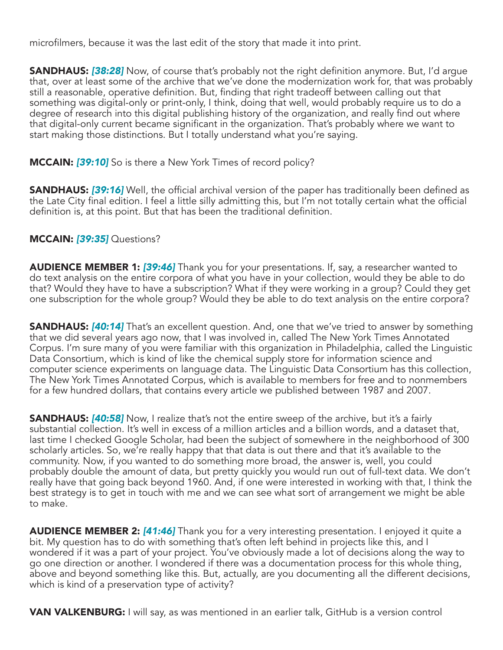microfilmers, because it was the last edit of the story that made it into print.

**SANDHAUS: [38:28]** Now, of course that's probably not the right definition anymore. But, I'd argue that, over at least some of the archive that we've done the modernization work for, that was probably still a reasonable, operative definition. But, finding that right tradeoff between calling out that something was digital-only or print-only, I think, doing that well, would probably require us to do a degree of research into this digital publishing history of the organization, and really find out where that digital-only current became significant in the organization. That's probably where we want to start making those distinctions. But I totally understand what you're saying.

## MCCAIN: *[39:10]* So is there a New York Times of record policy?

**SANDHAUS: [39:16]** Well, the official archival version of the paper has traditionally been defined as the Late City final edition. I feel a little silly admitting this, but I'm not totally certain what the official definition is, at this point. But that has been the traditional definition.

## MCCAIN: *[39:35]* Questions?

AUDIENCE MEMBER 1: *[39:46]* Thank you for your presentations. If, say, a researcher wanted to do text analysis on the entire corpora of what you have in your collection, would they be able to do that? Would they have to have a subscription? What if they were working in a group? Could they get one subscription for the whole group? Would they be able to do text analysis on the entire corpora?

SANDHAUS: *[40:14]* That's an excellent question. And, one that we've tried to answer by something that we did several years ago now, that I was involved in, called The New York Times Annotated Corpus. I'm sure many of you were familiar with this organization in Philadelphia, called the Linguistic Data Consortium, which is kind of like the chemical supply store for information science and computer science experiments on language data. The Linguistic Data Consortium has this collection, The New York Times Annotated Corpus, which is available to members for free and to nonmembers for a few hundred dollars, that contains every article we published between 1987 and 2007.

SANDHAUS: *[40:58]* Now, I realize that's not the entire sweep of the archive, but it's a fairly substantial collection. It's well in excess of a million articles and a billion words, and a dataset that, last time I checked Google Scholar, had been the subject of somewhere in the neighborhood of 300 scholarly articles. So, we're really happy that that data is out there and that it's available to the community. Now, if you wanted to do something more broad, the answer is, well, you could probably double the amount of data, but pretty quickly you would run out of full-text data. We don't really have that going back beyond 1960. And, if one were interested in working with that, I think the best strategy is to get in touch with me and we can see what sort of arrangement we might be able to make.

AUDIENCE MEMBER 2: *[41:46]* Thank you for a very interesting presentation. I enjoyed it quite a bit. My question has to do with something that's often left behind in projects like this, and I wondered if it was a part of your project. You've obviously made a lot of decisions along the way to go one direction or another. I wondered if there was a documentation process for this whole thing, above and beyond something like this. But, actually, are you documenting all the different decisions, which is kind of a preservation type of activity?

**VAN VALKENBURG:** I will say, as was mentioned in an earlier talk, GitHub is a version control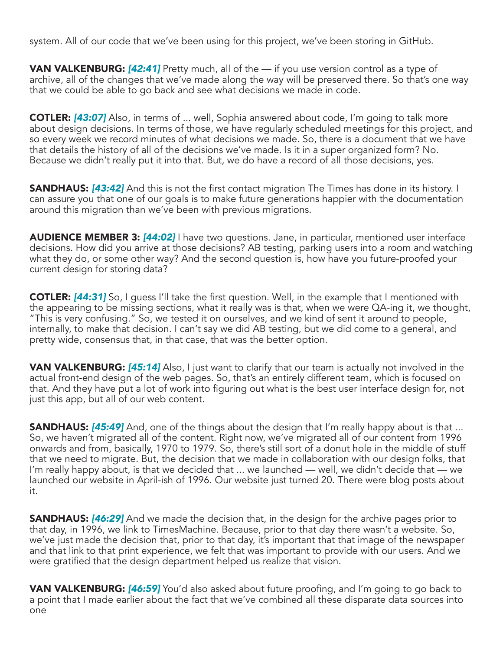system. All of our code that we've been using for this project, we've been storing in GitHub.

VAN VALKENBURG: *[42:41]* Pretty much, all of the — if you use version control as a type of archive, all of the changes that we've made along the way will be preserved there. So that's one way that we could be able to go back and see what decisions we made in code.

COTLER: *[43:07]* Also, in terms of ... well, Sophia answered about code, I'm going to talk more about design decisions. In terms of those, we have regularly scheduled meetings for this project, and so every week we record minutes of what decisions we made. So, there is a document that we have that details the history of all of the decisions we've made. Is it in a super organized form? No. Because we didn't really put it into that. But, we do have a record of all those decisions, yes.

SANDHAUS: *[43:42]* And this is not the first contact migration The Times has done in its history. I can assure you that one of our goals is to make future generations happier with the documentation around this migration than we've been with previous migrations.

AUDIENCE MEMBER 3: *[44:02]* I have two questions. Jane, in particular, mentioned user interface decisions. How did you arrive at those decisions? AB testing, parking users into a room and watching what they do, or some other way? And the second question is, how have you future-proofed your current design for storing data?

**COTLER:** [44:31] So, I guess I'll take the first question. Well, in the example that I mentioned with the appearing to be missing sections, what it really was is that, when we were QA-ing it, we thought, "This is very confusing." So, we tested it on ourselves, and we kind of sent it around to people, internally, to make that decision. I can't say we did AB testing, but we did come to a general, and pretty wide, consensus that, in that case, that was the better option.

VAN VALKENBURG: *[45:14]* Also, I just want to clarify that our team is actually not involved in the actual front-end design of the web pages. So, that's an entirely different team, which is focused on that. And they have put a lot of work into figuring out what is the best user interface design for, not just this app, but all of our web content.

**SANDHAUS: [45:49]** And, one of the things about the design that I'm really happy about is that ... So, we haven't migrated all of the content. Right now, we've migrated all of our content from 1996 onwards and from, basically, 1970 to 1979. So, there's still sort of a donut hole in the middle of stuff that we need to migrate. But, the decision that we made in collaboration with our design folks, that I'm really happy about, is that we decided that ... we launched — well, we didn't decide that — we launched our website in April-ish of 1996. Our website just turned 20. There were blog posts about it.

**SANDHAUS: [46:29]** And we made the decision that, in the design for the archive pages prior to that day, in 1996, we link to TimesMachine. Because, prior to that day there wasn't a website. So, we've just made the decision that, prior to that day, it's important that that image of the newspaper and that link to that print experience, we felt that was important to provide with our users. And we were gratified that the design department helped us realize that vision.

VAN VALKENBURG: *[46:59]* You'd also asked about future proofing, and I'm going to go back to a point that I made earlier about the fact that we've combined all these disparate data sources into one